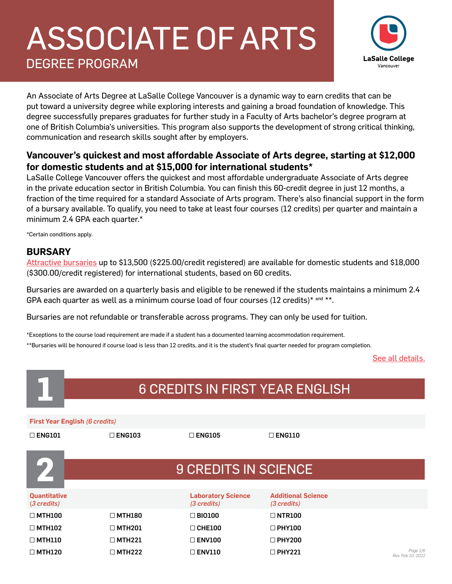# ASSOCIATE OF ARTS DEGREE PROGRAM



An Associate of Arts Degree at LaSalle College Vancouver is a dynamic way to earn credits that can be put toward a university degree while exploring interests and gaining a broad foundation of knowledge. This degree successfully prepares graduates for further study in a Faculty of Arts bachelor's degree program at one of British Columbia's universities. This program also supports the development of strong critical thinking, communication and research skills sought after by employers.

### **Vancouver's quickest and most affordable Associate of Arts degree, starting at \$12,000 for domestic students and at \$15,000 for international students\***

LaSalle College Vancouver offers the quickest and most affordable undergraduate Associate of Arts degree in the private education sector in British Columbia. You can finish this 60-credit degree in just 12 months, a fraction of the time required for a standard Associate of Arts program. There's also financial support in the form of a bursary available. To qualify, you need to take at least four courses (12 credits) per quarter and maintain a minimum 2.4 GPA each quarter.\*

\*Certain conditions apply.

### **BURSARY**

[Attractive bursaries](https://www.lasallecollegevancouver.com/future-students/scholarships/bursary-asssociate-of-arts-degree) up to \$13,500 (\$225.00/credit registered) are available for domestic students and \$18,000 (\$300.00/credit registered) for international students, based on 60 credits.

Bursaries are awarded on a quarterly basis and eligible to be renewed if the students maintains a minimum 2.4 GPA each quarter as well as a minimum course load of four courses  $(12 \text{ credits})^*$  and \*\*.

Bursaries are not refundable or transferable across programs. They can only be used for tuition.

\*Exceptions to the course load requirement are made if a student has a documented learning accommodation requirement.

\*\*Bursaries will be honoured if course load is less than 12 credits, and it is the student's final quarter needed for program completion.

[See all details.](https://www.lasallecollegevancouver.com/future-students/scholarships/bursary-asssociate-of-arts-degree)

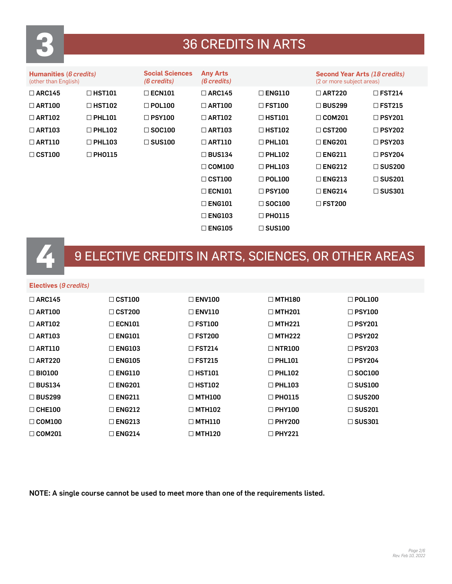

## **3** 36 CREDITS IN ARTS

| Humanities (6 credits)<br>(other than English) |               | <b>Social Sciences</b><br>(6 credits) | <b>Any Arts</b><br>(6 credits) |               | <b>Second Year Arts (18 credits)</b><br>(2 or more subject areas) |                  |
|------------------------------------------------|---------------|---------------------------------------|--------------------------------|---------------|-------------------------------------------------------------------|------------------|
| $\Box$ ARC145                                  | $\Box$ HST101 | $\Box$ ECN101                         | $\Box$ ARC145                  | $\Box$ ENG110 | $\Box$ ART220                                                     | $\Box$ FST214    |
| $\Box$ ART100                                  | $\Box$ HST102 | $\Box$ POL100                         | $\Box$ ART100                  | $\Box$ FST100 | $\Box$ BUS299                                                     | $\Box$ FST215    |
| $\Box$ ART102                                  | $\Box$ PHL101 | $\Box$ PSY100                         | $\Box$ ART102                  | $\Box$ HST101 | $\Box$ COM201                                                     | $\Box$ PSY201    |
| $\Box$ ART103                                  | $\Box$ PHL102 | $\Box$ SOC100                         | $\Box$ ART103                  | $\Box$ HST102 | $\Box$ CST200                                                     | $\square$ PSY202 |
| $\Box$ ART110                                  | $\Box$ PHL103 | $\Box$ SUS100                         | $\Box$ ART110                  | $\Box$ PHL101 | $\Box$ ENG201                                                     | $\square$ PSY203 |
| $\Box$ CST100                                  | $\Box$ PHO115 |                                       | $\Box$ BUS134                  | $\Box$ PHL102 | $\Box$ ENG211                                                     | $\square$ PSY204 |
|                                                |               |                                       | $\Box$ COM100                  | $\Box$ PHL103 | $\Box$ ENG212                                                     | $\square$ SUS200 |
|                                                |               |                                       | $\Box$ CST100                  | $\Box$ POL100 | $\Box$ ENG213                                                     | $\square$ SUS201 |
|                                                |               |                                       | $\Box$ ECN101                  | $\Box$ PSY100 | $\Box$ ENG214                                                     | $\square$ SUS301 |
|                                                |               |                                       | $\Box$ ENG101                  | $\Box$ SOC100 | $\Box$ FST200                                                     |                  |
|                                                |               |                                       | $\Box$ ENG103                  | $\Box$ PHO115 |                                                                   |                  |
|                                                |               |                                       | $\Box$ ENG105                  | $\Box$ SUS100 |                                                                   |                  |

# **4** 9 ELECTIVE CREDITS IN ARTS, SCIENCES, OR OTHER AREAS

#### **Electives (***9 credits)*

| $\Box$ ARC145 | $\Box$ CST100 | $\Box$ ENV100    | $\Box$ MTH180 | $\Box$ POL100    |
|---------------|---------------|------------------|---------------|------------------|
| $\Box$ ART100 | $\Box$ CST200 | $\Box$ ENV110    | $\Box$ MTH201 | $\Box$ PSY100    |
| $\Box$ ART102 | $\Box$ ECN101 | $\square$ FST100 | $\Box$ MTH221 | $\Box$ PSY201    |
| $\Box$ ART103 | $\Box$ ENG101 | $\square$ FST200 | $\Box$ MTH222 | $\Box$ PSY202    |
| $\Box$ ART110 | $\Box$ ENG103 | $\Box$ FST214    | $\Box$ NTR100 | $\Box$ PSY203    |
| $\Box$ ART220 | $\Box$ ENG105 | $\Box$ FST215    | $\Box$ PHL101 | $\Box$ PSY204    |
| $\Box$ BIO100 | $\Box$ ENG110 | $\Box$ HST101    | $\Box$ PHL102 | $\Box$ SOC100    |
| $\Box$ BUS134 | $\Box$ ENG201 | $\Box$ HST102    | $\Box$ PHL103 | $\Box$ SUS100    |
| $\Box$ BUS299 | $\Box$ ENG211 | $\Box$ MTH100    | $\Box$ PHO115 | $\square$ SUS200 |
| $\Box$ CHE100 | $\Box$ ENG212 | $\Box$ MTH102    | $\Box$ PHY100 | $\square$ SUS201 |
| $\Box$ COM100 | $\Box$ ENG213 | $\Box$ MTH110    | $\Box$ PHY200 | $\square$ SUS301 |
| $\Box$ COM201 | $\Box$ ENG214 | $\Box$ MTH120    | $\Box$ PHY221 |                  |

NOTE: A single course cannot be used to meet more than one of the requirements listed.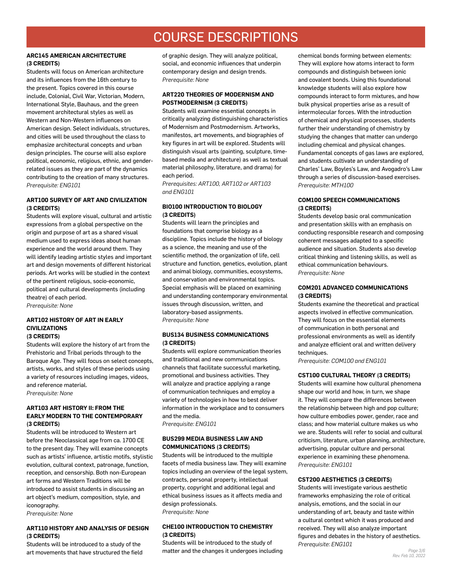### COURSE DESCRIPTIONS

#### **ARC145 AMERICAN ARCHITECTURE (3 CREDITS)**

Students will focus on American architecture and its influences from the 16th century to the present. Topics covered in this course include, Colonial, Civil War, Victorian, Modern, International Style, Bauhaus, and the green movement architectural styles as well as Western and Non-Western influences on American design. Select individuals, structures, and cities will be used throughout the class to emphasize architectural concepts and urban design principles. The course will also explore political, economic, religious, ethnic, and genderrelated issues as they are part of the dynamics contributing to the creation of many structures. *Prerequisite: ENG101* 

#### **ART100 SURVEY OF ART AND CIVILIZATION (3 CREDITS)**

Students will explore visual, cultural and artistic expressions from a global perspective on the origin and purpose of art as a shared visual medium used to express ideas about human experience and the world around them. They will identify leading artistic styles and important art and design movements of different historical periods. Art works will be studied in the context of the pertinent religious, socio-economic, political and cultural developments (including theatre) of each period. *Prerequisite: None* 

#### **ART102 HISTORY OF ART IN EARLY CIVILIZATIONS (3 CREDITS)**

Students will explore the history of art from the Prehistoric and Tribal periods through to the Baroque Age. They will focus on select concepts, artists, works, and styles of these periods using a variety of resources including images, videos, and reference material.

*Prerequisite: None* 

#### **ART103 ART HISTORY II: FROM THE EARLY MODERN TO THE CONTEMPORARY (3 CREDITS)**

Students will be introduced to Western art before the Neoclassical age from ca. 1700 CE to the present day. They will examine concepts such as artists' influence, artistic motifs, stylistic evolution, cultural context, patronage, function, reception, and censorship. Both non-European art forms and Western Traditions will be introduced to assist students in discussing an art object's medium, composition, style, and iconography.

*Prerequisite: None* 

#### **ART110 HISTORY AND ANALYSIS OF DESIGN (3 CREDITS)**

Students will be introduced to a study of the art movements that have structured the field of graphic design. They will analyze political, social, and economic influences that underpin contemporary design and design trends. *Prerequisite: None* 

#### **ART220 THEORIES OF MODERNISM AND POSTMODERNISM (3 CREDITS)**

Students will examine essential concepts in critically analyzing distinguishing characteristics of Modernism and Postmodernism. Artworks, manifestos, art movements, and biographies of key figures in art will be explored. Students will distinguish visual arts (painting, sculpture, timebased media and architecture) as well as textual material philosophy, literature, and drama) for each period.

*Prerequisites: ART100, ART102 or ART103 and ENG101*

#### **BIO100 INTRODUCTION TO BIOLOGY (3 CREDITS)**

Students will learn the principles and foundations that comprise biology as a discipline. Topics include the history of biology as a science, the meaning and use of the scientific method, the organization of life, cell structure and function, genetics, evolution, plant and animal biology, communities, ecosystems, and conservation and environmental topics. Special emphasis will be placed on examining and understanding contemporary environmental issues through discussion, written, and laboratory-based assignments. *Prerequisite: None*

#### **BUS134 BUSINESS COMMUNICATIONS (3 CREDITS)**

Students will explore communication theories and traditional and new communications channels that facilitate successful marketing, promotional and business activities. They will analyze and practice applying a range of communication techniques and employ a variety of technologies in how to best deliver information in the workplace and to consumers and the media.

*Prerequisite: ENG101* 

#### **BUS299 MEDIA BUSINESS LAW AND COMMUNICATIONS (3 CREDITS)**

Students will be introduced to the multiple facets of media business law. They will examine topics including an overview of the legal system, contracts, personal property, intellectual property, copyright and additional legal and ethical business issues as it affects media and design professionals. *Prerequisite: None* 

#### **CHE100 INTRODUCTION TO CHEMISTRY (3 CREDITS)**

Students will be introduced to the study of matter and the changes it undergoes including chemical bonds forming between elements: They will explore how atoms interact to form compounds and distinguish between ionic and covalent bonds. Using this foundational knowledge students will also explore how compounds interact to form mixtures, and how bulk physical properties arise as a result of intermolecular forces. With the introduction of chemical and physical processes, students further their understanding of chemistry by studying the changes that matter can undergo including chemical and physical changes. Fundamental concepts of gas laws are explored, and students cultivate an understanding of Charles' Law, Boyles's Law, and Avogadro's Law through a series of discussion-based exercises. *Prerequisite: MTH100*

#### **COM100 SPEECH COMMUNICATIONS (3 CREDITS)**

Students develop basic oral communication and presentation skills with an emphasis on conducting responsible research and composing coherent messages adapted to a specific audience and situation. Students also develop critical thinking and listening skills, as well as ethical communication behaviours. *Prerequisite: None* 

#### **COM201 ADVANCED COMMUNICATIONS (3 CREDITS)**

Students examine the theoretical and practical aspects involved in effective communication. They will focus on the essential elements of communication in both personal and professional environments as well as identify and analyze efficient oral and written delivery techniques.

*Prerequisite: COM100 and ENG101* 

#### **CST100 CULTURAL THEORY (3 CREDITS)**

Students will examine how cultural phenomena shape our world and how, in turn, we shape it. They will compare the differences between the relationship between high and pop culture; how culture embodies power, gender, race and class; and how material culture makes us who we are. Students will refer to social and cultural criticism, literature, urban planning, architecture, advertising, popular culture and personal experience in examining these phenomena. *Prerequisite: ENG101* 

#### **CST200 AESTHETICS (3 CREDITS)**

Students will investigate various aesthetic frameworks emphasizing the role of critical analysis, emotions, and the social in our understanding of art, beauty and taste within a cultural context which it was produced and received. They will also analyze important figures and debates in the history of aesthetics. *Prerequisite: ENG101*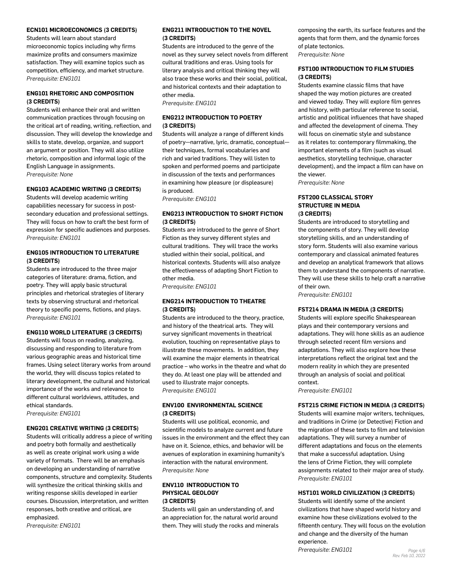#### **ECN101 MICROECONOMICS (3 CREDITS)**

Students will learn about standard microeconomic topics including why firms maximize profits and consumers maximize satisfaction. They will examine topics such as competition, efficiency, and market structure. *Prerequisite: ENG101* 

#### **ENG101 RHETORIC AND COMPOSITION (3 CREDITS)**

Students will enhance their oral and written communication practices through focusing on the critical art of reading, writing, reflection, and discussion. They will develop the knowledge and skills to state, develop, organize, and support an argument or position. They will also utilize rhetoric, composition and informal logic of the English Language in assignments. *Prerequisite: None*

#### **ENG103 ACADEMIC WRITING (3 CREDITS)**

Students will develop academic writing capabilities necessary for success in postsecondary education and professional settings. They will focus on how to craft the best form of expression for specific audiences and purposes. *Prerequisite: ENG101* 

#### **ENG105 INTRODUCTION TO LITERATURE (3 CREDITS)**

Students are introduced to the three major categories of literature: drama, fiction, and poetry. They will apply basic structural principles and rhetorical strategies of literary texts by observing structural and rhetorical theory to specific poems, fictions, and plays. *Prerequisite: ENG101*

#### **ENG110 WORLD LITERATURE (3 CREDITS)**

Students will focus on reading, analyzing, discussing and responding to literature from various geographic areas and historical time frames. Using select literary works from around the world, they will discuss topics related to literary development, the cultural and historical importance of the works and relevance to different cultural worldviews, attitudes, and ethical standards.

*Prerequisite: ENG101* 

#### **ENG201 CREATIVE WRITING (3 CREDITS)**

Students will critically address a piece of writing and poetry both formally and aesthetically as well as create original work using a wide variety of formats. There will be an emphasis on developing an understanding of narrative components, structure and complexity. Students will synthesize the critical thinking skills and writing response skills developed in earlier courses. Discussion, interpretation, and written responses, both creative and critical, are emphasized.

*Prerequisite: ENG101* 

#### **ENG211 INTRODUCTION TO THE NOVEL (3 CREDITS)**

Students are introduced to the genre of the novel as they survey select novels from different cultural traditions and eras. Using tools for literary analysis and critical thinking they will also trace these works and their social, political, and historical contexts and their adaptation to other media.

*Prerequisite: ENG101* 

#### **ENG212 INTRODUCTION TO POETRY (3 CREDITS)**

Students will analyze a range of different kinds of poetry—narrative, lyric, dramatic, conceptual their techniques, formal vocabularies and rich and varied traditions. They will listen to spoken and performed poems and participate in discussion of the texts and performances in examining how pleasure (or displeasure) is produced.

*Prerequisite: ENG101* 

#### **ENG213 INTRODUCTION TO SHORT FICTION (3 CREDITS)**

Students are introduced to the genre of Short Fiction as they survey different styles and cultural traditions. They will trace the works studied within their social, political, and historical contexts. Students will also analyze the effectiveness of adapting Short Fiction to other media.

*Prerequisite: ENG101* 

#### **ENG214 INTRODUCTION TO THEATRE (3 CREDITS)**

Students are introduced to the theory, practice, and history of the theatrical arts. They will survey significant movements in theatrical evolution, touching on representative plays to illustrate these movements. In addition, they will examine the major elements in theatrical practice – who works in the theatre and what do they do. At least one play will be attended and used to illustrate major concepts. *Prerequisite: ENG101* 

#### **ENV100 ENVIRONMENTAL SCIENCE (3 CREDITS)**

Students will use political, economic, and scientific models to analyze current and future issues in the environment and the effect they can have on it. Science, ethics, and behavior will be avenues of exploration in examining humanity's interaction with the natural environment. *Prerequisite: None* 

#### **ENV110 INTRODUCTION TO PHYSICAL GEOLOGY (3 CREDITS)**

Students will gain an understanding of, and an appreciation for, the natural world around them. They will study the rocks and minerals composing the earth, its surface features and the agents that form them, and the dynamic forces of plate tectonics. *Prerequisite: None* 

#### **FST100 INTRODUCTION TO FILM STUDIES (3 CREDITS)**

Students examine classic films that have shaped the way motion pictures are created and viewed today. They will explore film genres and history, with particular reference to social, artistic and political influences that have shaped and affected the development of cinema. They will focus on cinematic style and substance as it relates to: contemporary filmmaking, the important elements of a film (such as visual aesthetics, storytelling technique, character development), and the impact a film can have on the viewer.

*Prerequisite: None*

#### **FST200 CLASSICAL STORY STRUCTURE IN MEDIA (3 CREDITS)**

Students are introduced to storytelling and the components of story. They will develop storytelling skills, and an understanding of story form. Students will also examine various contemporary and classical animated features and develop an analytical framework that allows them to understand the components of narrative. They will use these skills to help craft a narrative of their own.

*Prerequisite: ENG101* 

#### **FST214 DRAMA IN MEDIA (3 CREDITS)**

Students will explore specific Shakespearean plays and their contemporary versions and adaptations. They will hone skills as an audience through selected recent film versions and adaptations. They will also explore how these interpretations reflect the original text and the modern reality in which they are presented through an analysis of social and political context.

*Prerequisite: ENG101* 

#### **FST215 CRIME FICTION IN MEDIA (3 CREDITS)**

Students will examine major writers, techniques, and traditions in Crime (or Detective) Fiction and the migration of these texts to film and television adaptations. They will survey a number of different adaptations and focus on the elements that make a successful adaptation. Using the lens of Crime Fiction, they will complete assignments related to their major area of study. *Prerequisite: ENG101* 

#### **HST101 WORLD CIVILIZATION (3 CREDITS)**

Students will identify some of the ancient civilizations that have shaped world history and examine how these civilizations evolved to the fifteenth century. They will focus on the evolution and change and the diversity of the human experience.

 $Prerequires: ENG101$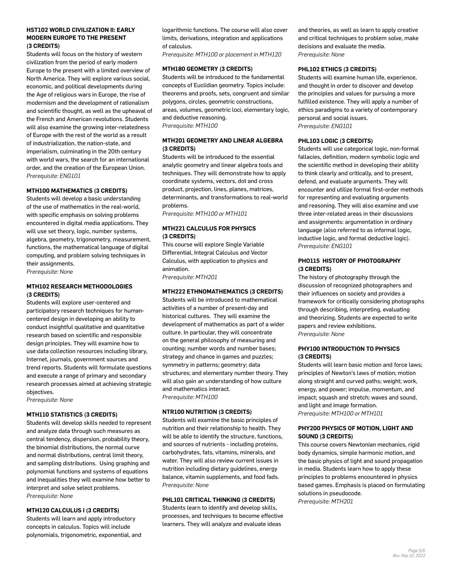#### **HST102 WORLD CIVILIZATION II: EARLY MODERN EUROPE TO THE PRESENT (3 CREDITS)**

Students will focus on the history of western civilization from the period of early modern Europe to the present with a limited overview of North America. They will explore various social, economic, and political developments during the Age of religious wars in Europe, the rise of modernism and the development of rationalism and scientific thought, as well as the upheaval of the French and American revolutions. Students will also examine the growing inter-relatedness of Europe with the rest of the world as a result of industrialization, the nation-state, and imperialism, culminating in the 20th century with world wars, the search for an international order, and the creation of the European Union. *Prerequisite: ENG101* 

#### **MTH100 MATHEMATICS (3 CREDITS)**

Students will develop a basic understanding of the use of mathematics in the real-world, with specific emphasis on solving problems encountered in digital media applications. They will use set theory, logic, number systems, algebra, geometry, trigonometry, measurement, functions, the mathematical language of digital computing, and problem solving techniques in their assignments.

*Prerequisite: None* 

#### **MTH102 RESEARCH METHODOLOGIES (3 CREDITS)**

Students will explore user-centered and participatory research techniques for humancentered design in developing an ability to conduct insightful qualitative and quantitative research based on scientific and responsible design principles. They will examine how to use data collection resources including library, Internet, journals, government sources and trend reports. Students will formulate questions and execute a range of primary and secondary research processes aimed at achieving strategic objectives.

*Prerequisite: None* 

#### **MTH110 STATISTICS (3 CREDITS)**

Students will develop skills needed to represent and analyze data through such measures as central tendency, dispersion, probability theory, the binomial distributions, the normal curve and normal distributions, central limit theory, and sampling distributions. Using graphing and polynomial functions and systems of equations and inequalities they will examine how better to interpret and solve select problems. *Prerequisite: None* 

#### **MTH120 CALCULUS I (3 CREDITS)**

Students will learn and apply introductory concepts in calculus. Topics will include polynomials, trigonometric, exponential, and logarithmic functions. The course will also cover limits, derivations, integration and applications of calculus.

*Prerequisite: MTH100 or placement in MTH120*

#### **MTH180 GEOMETRY (3 CREDITS)**

Students will be introduced to the fundamental concepts of Euclidian geometry. Topics include: theorems and proofs, sets, congruent and similar polygons, circles, geometric constructions, areas, volumes, geometric loci, elementary logic, and deductive reasoning. *Prerequisite: MTH100*

#### **MTH201 GEOMETRY AND LINEAR ALGEBRA (3 CREDITS)**

Students will be introduced to the essential analytic geometry and linear algebra tools and techniques. They will demonstrate how to apply coordinate systems, vectors, dot and cross product, projection, lines, planes, matrices, determinants, and transformations to real-world problems.

*Prerequisite: MTH100 or MTH101*

#### **MTH221 CALCULUS FOR PHYSICS (3 CREDITS)**

This course will explore Single Variable Differential, Integral Calculus and Vector Calculus, with application to physics and animation. *Prerequisite: MTH201*

#### **MTH222 ETHNOMATHEMATICS (3 CREDITS)**

Students will be introduced to mathematical activities of a number of present-day and historical cultures. They will examine the development of mathematics as part of a wider culture. In particular, they will concentrate on the general philosophy of measuring and counting; number words and number bases; strategy and chance in games and puzzles; symmetry in patterns; geometry; data structures; and elementary number theory. They will also gain an understanding of how culture and mathematics interact. *Prerequisite: MTH100* 

#### **NTR100 NUTRITION (3 CREDITS)**

Students will examine the basic principles of nutrition and their relationship to health. They will be able to identify the structure, functions, and sources of nutrients - including proteins, carbohydrates, fats, vitamins, minerals, and water. They will also review current issues in nutrition including dietary guidelines, energy balance, vitamin supplements, and food fads. *Prerequisite: None* 

#### **PHL101 CRITICAL THINKING (3 CREDITS)**

Students learn to identify and develop skills, processes, and techniques to become effective learners. They will analyze and evaluate ideas

and theories, as well as learn to apply creative and critical techniques to problem solve, make decisions and evaluate the media. *Prerequisite: None* 

#### **PHL102 ETHICS (3 CREDITS)**

Students will examine human life, experience, and thought in order to discover and develop the principles and values for pursuing a more fulfilled existence. They will apply a number of ethics paradigms to a variety of contemporary personal and social issues. *Prerequisite: ENG101* 

#### **PHL103 LOGIC (3 CREDITS)**

Students will use categorical logic, non-formal fallacies, definition, modern symbolic logic and the scientific method in developing their ability to think clearly and critically, and to present, defend, and evaluate arguments. They will encounter and utilize formal first-order methods for representing and evaluating arguments and reasoning. They will also examine and use three inter-related areas in their discussions and assignments: argumentation in ordinary language (also referred to as informal logic, inductive logic, and formal deductive logic). *Prerequisite: ENG101* 

#### **PHO115 HISTORY OF PHOTOGRAPHY (3 CREDITS)**

The history of photography through the discussion of recognized photographers and their influences on society and provides a framework for critically considering photographs through describing, interpreting, evaluating and theorizing. Students are expected to write papers and review exhibitions. *Prerequisite: None* 

#### **PHY100 INTRODUCTION TO PHYSICS (3 CREDITS)**

Students will learn basic motion and force laws; principles of Newton's laws of motion; motion along straight and curved paths; weight; work, energy, and power; impulse, momentum, and impact; squash and stretch; waves and sound, and light and image formation. *Prerequisite: MTH100 or MTH101*

#### **PHY200 PHYSICS OF MOTION, LIGHT AND SOUND (3 CREDITS)**

This course covers Newtonian mechanics, rigid body dynamics, simple harmonic motion, and the basic physics of light and sound propagation in media. Students learn how to apply these principles to problems encountered in physics based games. Emphasis is placed on formulating solutions in pseudocode. *Prerequisite: MTH201*